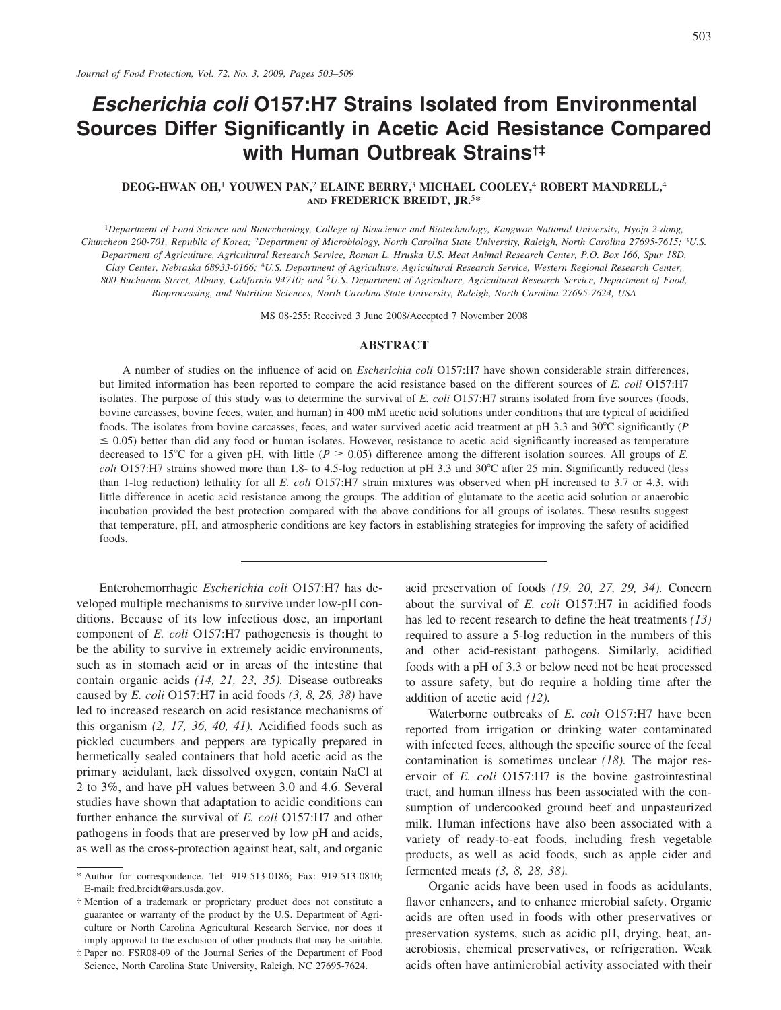# **Escherichia coli 0157:H7 Strains Isolated from Environmental Sources Differ Significantly in Acetic Acid Resistance Compared** with Human Outbreak Strains<sup>†‡</sup>

## DEOG-HWAN OH,<sup>1</sup> YOUWEN PAN,<sup>2</sup> ELAINE BERRY,<sup>3</sup> MICHAEL COOLEY,<sup>4</sup> ROBERT MANDRELL,<sup>4</sup> AND FREDERICK BREIDT, JR.5\*

<sup>1</sup>Department of Food Science and Biotechnology, College of Bioscience and Biotechnology, Kangwon National University, Hyoja 2-dong, Chuncheon 200-701, Republic of Korea; <sup>2</sup>Department of Microbiology, North Carolina State University, Raleigh, North Carolina 27695-7615; <sup>3</sup>U.S. Department of Agriculture, Agricultural Research Service, Roman L. Hruska U.S. Meat Animal Research Center, P.O. Box 166, Spur 18D, Clay Center, Nebraska 68933-0166; <sup>4</sup>U.S. Department of Agriculture, Agricultural Research Service, Western Regional Research Center, 800 Buchanan Street, Albany, California 94710; and <sup>5</sup>U.S. Department of Agriculture, Agricultural Research Service, Department of Food, Bioprocessing, and Nutrition Sciences, North Carolina State University, Raleigh, North Carolina 27695-7624, USA

MS 08-255: Received 3 June 2008/Accepted 7 November 2008

### **ABSTRACT**

A number of studies on the influence of acid on *Escherichia coli* O157:H7 have shown considerable strain differences, but limited information has been reported to compare the acid resistance based on the different sources of E. coli O157:H7 isolates. The purpose of this study was to determine the survival of E. coli O157:H7 strains isolated from five sources (foods, bovine carcasses, bovine feces, water, and human) in 400 mM acetic acid solutions under conditions that are typical of acidified foods. The isolates from bovine carcasses, feces, and water survived acetic acid treatment at pH 3.3 and 30 $^{\circ}$ C significantly (P  $\leq$  0.05) better than did any food or human isolates. However, resistance to acetic acid significantly increased as temperature decreased to 15°C for a given pH, with little ( $P \ge 0.05$ ) difference among the different isolation sources. All groups of E. coli O157:H7 strains showed more than 1.8- to 4.5-log reduction at pH 3.3 and 30°C after 25 min. Significantly reduced (less than 1-log reduction) lethality for all E. coli O157:H7 strain mixtures was observed when pH increased to 3.7 or 4.3, with little difference in acetic acid resistance among the groups. The addition of glutamate to the acetic acid solution or anaerobic incubation provided the best protection compared with the above conditions for all groups of isolates. These results suggest that temperature, pH, and atmospheric conditions are key factors in establishing strategies for improving the safety of acidified foods.

Enterohemorrhagic Escherichia coli O157:H7 has developed multiple mechanisms to survive under low-pH conditions. Because of its low infectious dose, an important component of E. coli O157:H7 pathogenesis is thought to be the ability to survive in extremely acidic environments, such as in stomach acid or in areas of the intestine that contain organic acids (14, 21, 23, 35). Disease outbreaks caused by E. coli O157:H7 in acid foods  $(3, 8, 28, 38)$  have led to increased research on acid resistance mechanisms of this organism  $(2, 17, 36, 40, 41)$ . Acidified foods such as pickled cucumbers and peppers are typically prepared in hermetically sealed containers that hold acetic acid as the primary acidulant, lack dissolved oxygen, contain NaCl at 2 to 3%, and have pH values between 3.0 and 4.6. Several studies have shown that adaptation to acidic conditions can further enhance the survival of E. coli O157:H7 and other pathogens in foods that are preserved by low pH and acids, as well as the cross-protection against heat, salt, and organic

acid preservation of foods  $(19, 20, 27, 29, 34)$ . Concern about the survival of E. coli O157:H7 in acidified foods has led to recent research to define the heat treatments  $(13)$ required to assure a 5-log reduction in the numbers of this and other acid-resistant pathogens. Similarly, acidified foods with a pH of 3.3 or below need not be heat processed to assure safety, but do require a holding time after the addition of acetic acid  $(12)$ .

Waterborne outbreaks of E. coli O157:H7 have been reported from irrigation or drinking water contaminated with infected feces, although the specific source of the fecal contamination is sometimes unclear  $(18)$ . The major reservoir of  $E$ . *coli* O157:H7 is the bovine gastrointestinal tract, and human illness has been associated with the consumption of undercooked ground beef and unpasteurized milk. Human infections have also been associated with a variety of ready-to-eat foods, including fresh vegetable products, as well as acid foods, such as apple cider and fermented meats  $(3, 8, 28, 38)$ .

Organic acids have been used in foods as acidulants, flavor enhancers, and to enhance microbial safety. Organic acids are often used in foods with other preservatives or preservation systems, such as acidic pH, drying, heat, anaerobiosis, chemical preservatives, or refrigeration. Weak acids often have antimicrobial activity associated with their

<sup>\*</sup> Author for correspondence. Tel: 919-513-0186; Fax: 919-513-0810; E-mail: fred.breidt@ars.usda.gov.

<sup>†</sup> Mention of a trademark or proprietary product does not constitute a guarantee or warranty of the product by the U.S. Department of Agriculture or North Carolina Agricultural Research Service, nor does it imply approval to the exclusion of other products that may be suitable.

<sup>#</sup> Paper no. FSR08-09 of the Journal Series of the Department of Food Science, North Carolina State University, Raleigh, NC 27695-7624.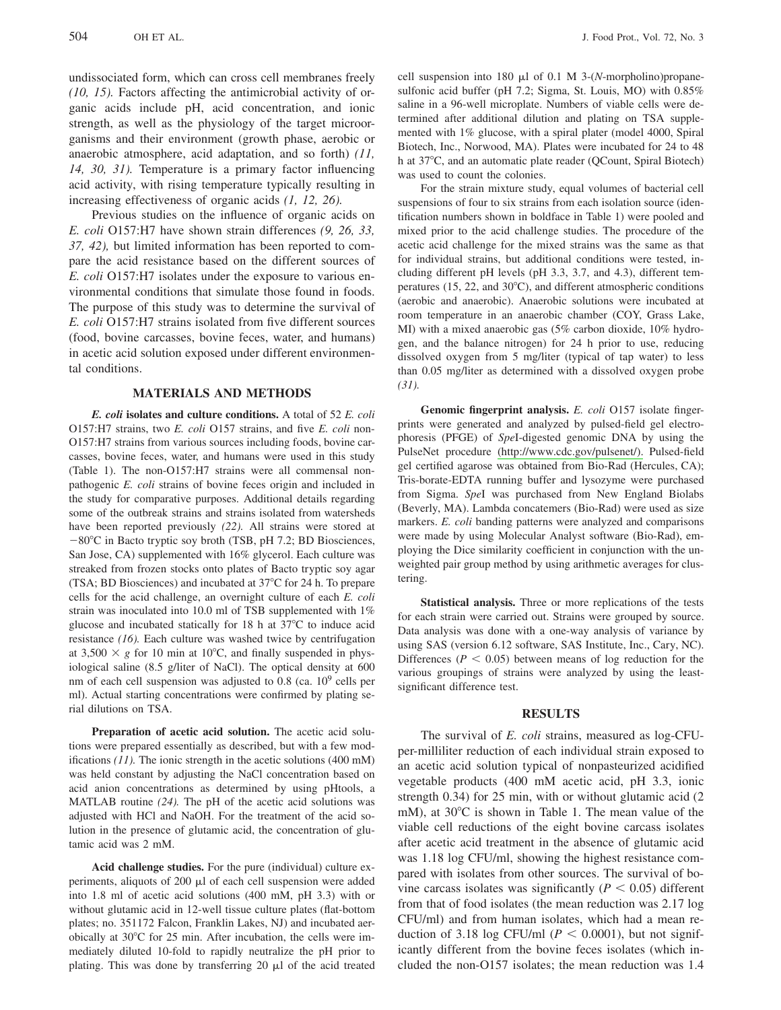undissociated form, which can cross cell membranes freely  $(10, 15)$ . Factors affecting the antimicrobial activity of organic acids include pH, acid concentration, and ionic strength, as well as the physiology of the target microorganisms and their environment (growth phase, aerobic or anaerobic atmosphere, acid adaptation, and so forth)  $(11, 12)$ 14, 30, 31). Temperature is a primary factor influencing acid activity, with rising temperature typically resulting in increasing effectiveness of organic acids  $(1, 12, 26)$ .

Previous studies on the influence of organic acids on E. coli O157:H7 have shown strain differences (9, 26, 33, 37, 42), but limited information has been reported to compare the acid resistance based on the different sources of E. coli O157:H7 isolates under the exposure to various environmental conditions that simulate those found in foods. The purpose of this study was to determine the survival of E. coli O157:H7 strains isolated from five different sources (food, bovine carcasses, bovine feces, water, and humans) in acetic acid solution exposed under different environmental conditions.

## **MATERIALS AND METHODS**

E. coli isolates and culture conditions. A total of 52 E. coli O157:H7 strains, two E. coli O157 strains, and five E. coli non-O157:H7 strains from various sources including foods, bovine carcasses, bovine feces, water, and humans were used in this study (Table 1). The non-O157:H7 strains were all commensal nonpathogenic E. coli strains of bovine feces origin and included in the study for comparative purposes. Additional details regarding some of the outbreak strains and strains isolated from watersheds have been reported previously (22). All strains were stored at  $-80^{\circ}$ C in Bacto tryptic soy broth (TSB, pH 7.2; BD Biosciences, San Jose, CA) supplemented with 16% glycerol. Each culture was streaked from frozen stocks onto plates of Bacto tryptic soy agar (TSA; BD Biosciences) and incubated at 37<sup>o</sup>C for 24 h. To prepare cells for the acid challenge, an overnight culture of each E. coli strain was inoculated into 10.0 ml of TSB supplemented with 1% glucose and incubated statically for 18 h at 37°C to induce acid resistance  $(16)$ . Each culture was washed twice by centrifugation at  $3,500 \times g$  for 10 min at 10°C, and finally suspended in physiological saline (8.5 g/liter of NaCl). The optical density at 600 nm of each cell suspension was adjusted to 0.8 (ca.  $10^9$  cells per ml). Actual starting concentrations were confirmed by plating serial dilutions on TSA.

Preparation of acetic acid solution. The acetic acid solutions were prepared essentially as described, but with a few modifications  $(11)$ . The ionic strength in the acetic solutions  $(400 \text{ mM})$ was held constant by adjusting the NaCl concentration based on acid anion concentrations as determined by using pHtools, a MATLAB routine  $(24)$ . The pH of the acetic acid solutions was adjusted with HCl and NaOH. For the treatment of the acid solution in the presence of glutamic acid, the concentration of glutamic acid was 2 mM.

Acid challenge studies. For the pure (individual) culture experiments, aliquots of  $200 \mu l$  of each cell suspension were added into 1.8 ml of acetic acid solutions (400 mM, pH 3.3) with or without glutamic acid in 12-well tissue culture plates (flat-bottom plates; no. 351172 Falcon, Franklin Lakes, NJ) and incubated aerobically at 30°C for 25 min. After incubation, the cells were immediately diluted 10-fold to rapidly neutralize the pH prior to plating. This was done by transferring 20  $\mu$ l of the acid treated

cell suspension into 180  $\mu$ l of 0.1 M 3-(N-morpholino)propanesulfonic acid buffer (pH 7.2; Sigma, St. Louis, MO) with 0.85% saline in a 96-well microplate. Numbers of viable cells were determined after additional dilution and plating on TSA supplemented with 1% glucose, with a spiral plater (model 4000, Spiral Biotech, Inc., Norwood, MA). Plates were incubated for 24 to 48 h at 37°C, and an automatic plate reader (QCount, Spiral Biotech) was used to count the colonies.

For the strain mixture study, equal volumes of bacterial cell suspensions of four to six strains from each isolation source (identification numbers shown in boldface in Table 1) were pooled and mixed prior to the acid challenge studies. The procedure of the acetic acid challenge for the mixed strains was the same as that for individual strains, but additional conditions were tested, including different pH levels (pH 3.3, 3.7, and 4.3), different temperatures (15, 22, and 30°C), and different atmospheric conditions (aerobic and anaerobic). Anaerobic solutions were incubated at room temperature in an anaerobic chamber (COY, Grass Lake, MI) with a mixed anaerobic gas (5% carbon dioxide, 10% hydrogen, and the balance nitrogen) for 24 h prior to use, reducing dissolved oxygen from 5 mg/liter (typical of tap water) to less than 0.05 mg/liter as determined with a dissolved oxygen probe  $(31)$ .

Genomic fingerprint analysis. E. coli O157 isolate fingerprints were generated and analyzed by pulsed-field gel electrophoresis (PFGE) of *Spel*-digested genomic DNA by using the PulseNet procedure (http://www.cdc.gov/pulsenet/). Pulsed-field gel certified agarose was obtained from Bio-Rad (Hercules, CA); Tris-borate-EDTA running buffer and lysozyme were purchased from Sigma. SpeI was purchased from New England Biolabs (Beverly, MA). Lambda concatemers (Bio-Rad) were used as size markers. E. coli banding patterns were analyzed and comparisons were made by using Molecular Analyst software (Bio-Rad), employing the Dice similarity coefficient in conjunction with the unweighted pair group method by using arithmetic averages for clustering.

Statistical analysis. Three or more replications of the tests for each strain were carried out. Strains were grouped by source. Data analysis was done with a one-way analysis of variance by using SAS (version 6.12 software, SAS Institute, Inc., Cary, NC). Differences ( $P < 0.05$ ) between means of log reduction for the various groupings of strains were analyzed by using the leastsignificant difference test.

#### **RESULTS**

The survival of E. coli strains, measured as log-CFUper-milliliter reduction of each individual strain exposed to an acetic acid solution typical of nonpasteurized acidified vegetable products (400 mM acetic acid, pH 3.3, ionic strength 0.34) for 25 min, with or without glutamic acid (2 mM), at 30°C is shown in Table 1. The mean value of the viable cell reductions of the eight bovine carcass isolates after acetic acid treatment in the absence of glutamic acid was 1.18 log CFU/ml, showing the highest resistance compared with isolates from other sources. The survival of bovine carcass isolates was significantly ( $P < 0.05$ ) different from that of food isolates (the mean reduction was 2.17 log CFU/ml) and from human isolates, which had a mean reduction of 3.18 log CFU/ml ( $P < 0.0001$ ), but not significantly different from the bovine feces isolates (which included the non-O157 isolates; the mean reduction was 1.4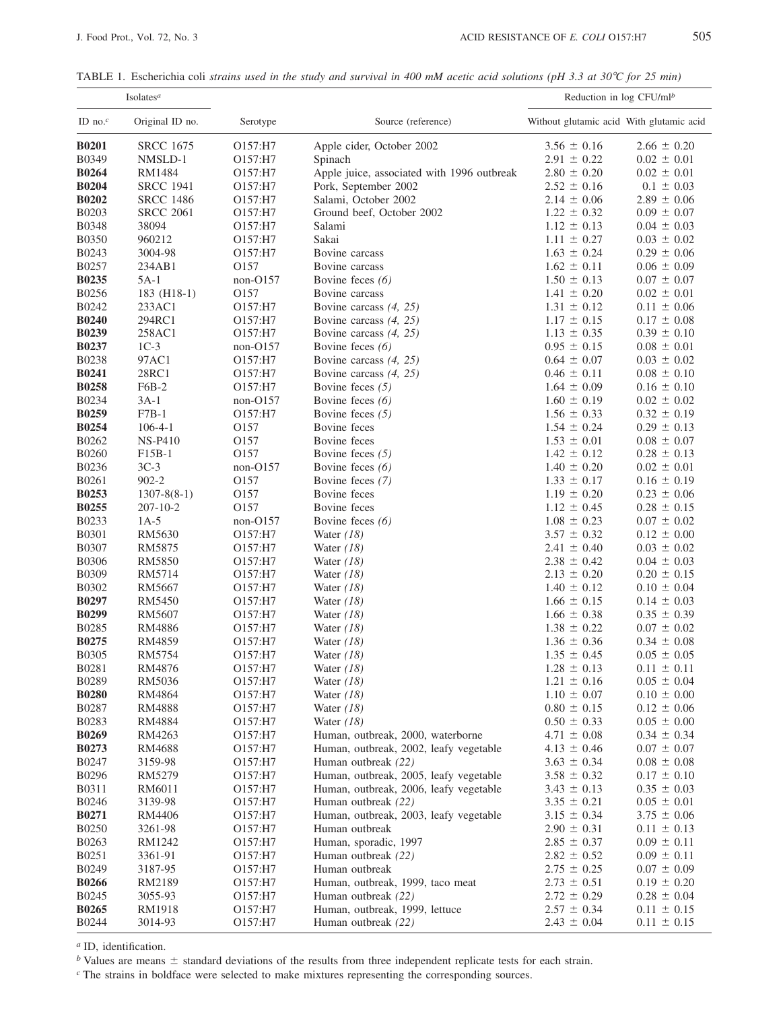TABLE 1. Escherichia coli strains used in the study and survival in 400 mM acetic acid solutions (pH 3.3 at 30°C for 25 min)

|                       | Isolates <sup>a</sup>    |              |                                            | Reduction in $log CFU/mlb$               |                                    |
|-----------------------|--------------------------|--------------|--------------------------------------------|------------------------------------------|------------------------------------|
| ID no. $^c$           | Original ID no.          | Serotype     | Source (reference)                         | Without glutamic acid With glutamic acid |                                    |
| <b>B0201</b>          | <b>SRCC 1675</b>         | O157:H7      | Apple cider, October 2002                  | $3.56 \pm 0.16$                          | $2.66 \pm 0.20$                    |
| B0349                 | NMSLD-1                  | O157:H7      | Spinach                                    | $2.91 \pm 0.22$                          | $0.02 \pm 0.01$                    |
| <b>B0264</b>          | RM1484                   | O157:H7      | Apple juice, associated with 1996 outbreak | $2.80 \pm 0.20$                          | $0.02 \pm 0.01$                    |
| <b>B0204</b>          | <b>SRCC 1941</b>         | O157:H7      | Pork, September 2002                       | $2.52 \pm 0.16$                          | $0.1 \pm 0.03$                     |
| <b>B0202</b>          | <b>SRCC 1486</b>         | O157:H7      | Salami, October 2002                       | $2.14 \pm 0.06$                          | $2.89 \pm 0.06$                    |
| B0203                 | <b>SRCC 2061</b>         | O157:H7      | Ground beef, October 2002                  | $1.22 \pm 0.32$                          | $0.09 \pm 0.07$                    |
| <b>B0348</b>          | 38094                    | O157:H7      | Salami                                     | $1.12 \pm 0.13$                          | $0.04 \pm 0.03$                    |
| <b>B0350</b>          | 960212                   | O157:H7      | Sakai                                      | $1.11 \pm 0.27$                          | $0.03 \pm 0.02$                    |
| B0243                 | 3004-98                  | O157:H7      | Bovine carcass                             | $1.63 \pm 0.24$                          | $0.29 \pm 0.06$                    |
| B0257                 | 234AB1                   | O157         | Bovine carcass                             | $1.62 \pm 0.11$                          | $0.06 \pm 0.09$                    |
| <b>B0235</b>          | $5A-1$                   | $non-O157$   | Bovine feces $(6)$                         | $1.50 \pm 0.13$                          | $0.07 \pm 0.07$                    |
| B0256                 | 183 (H18-1)              | O157         | Bovine carcass                             | $1.41 \pm 0.20$                          | $0.02 \pm 0.01$                    |
| B0242                 | 233AC1                   | O157:H7      | Bovine carcass $(4, 25)$                   | $1.31 \pm 0.12$                          | $0.11 \pm 0.06$                    |
| <b>B0240</b>          | 294RC1                   | O157:H7      | Bovine carcass $(4, 25)$                   | $1.17 \pm 0.15$                          | $0.17 \pm 0.08$                    |
| <b>B0239</b>          | 258AC1                   | O157:H7      | Bovine carcass $(4, 25)$                   | $1.13 \pm 0.35$                          | $0.39 \pm 0.10$                    |
| <b>B0237</b>          | $1C-3$                   | $non-O157$   | Bovine feces $(6)$                         | $0.95 \pm 0.15$                          | $0.08 \pm 0.01$                    |
| B0238                 | 97AC1                    | O157:H7      | Bovine carcass $(4, 25)$                   | $0.64 \pm 0.07$                          | $0.03 \pm 0.02$                    |
| <b>B0241</b>          | 28RC1                    | O157:H7      | Bovine carcass $(4, 25)$                   | $0.46 \pm 0.11$                          | $0.08 \pm 0.10$                    |
| <b>B0258</b>          | F6B-2                    | O157:H7      | Bovine feces $(5)$                         | $1.64 \pm 0.09$                          | $0.16 \pm 0.10$                    |
| B0234                 | $3A-1$                   | $non-O157$   | Bovine feces $(6)$                         | $1.60 \pm 0.19$                          | $0.02 \pm 0.02$                    |
| <b>B0259</b>          | $F7B-1$                  | O157:H7      | Bovine feces $(5)$                         | $1.56 \pm 0.33$                          | $0.32 \pm 0.19$                    |
| <b>B0254</b>          | $106 - 4 - 1$            | O157         | Bovine feces                               | $1.54 \pm 0.24$                          | $0.29 \pm 0.13$                    |
| B0262                 | <b>NS-P410</b>           | O157         | Bovine feces                               | $1.53 \pm 0.01$                          | $0.08 \pm 0.07$                    |
| <b>B0260</b>          | F15B-1                   | O157         | Bovine feces $(5)$                         | $1.42 \pm 0.12$                          | $0.28 \pm 0.13$                    |
| B0236                 | $3C-3$                   | $non-O157$   | Bovine feces $(6)$                         | $1.40 \pm 0.20$                          | $0.02 \pm 0.01$                    |
| B0261                 | $902 - 2$                | O157         | Bovine feces (7)                           | $1.33 \pm 0.17$                          | $0.16 \pm 0.19$                    |
| <b>B0253</b>          | $1307 - 8(8-1)$          | O157<br>O157 | Bovine feces<br>Bovine feces               | $1.19 \pm 0.20$                          | $0.23 \pm 0.06$                    |
| <b>B0255</b><br>B0233 | $207 - 10 - 2$<br>$1A-5$ | non-O157     |                                            | $1.12 \pm 0.45$<br>$1.08 \pm 0.23$       | $0.28 \pm 0.15$<br>$0.07 \pm 0.02$ |
| B0301                 | RM5630                   | O157:H7      | Bovine feces $(6)$                         | $3.57 \pm 0.32$                          | $0.12 \pm 0.00$                    |
| <b>B0307</b>          | RM5875                   | O157:H7      | Water $(18)$<br>Water $(18)$               | $2.41 \pm 0.40$                          | $0.03 \pm 0.02$                    |
| <b>B0306</b>          | <b>RM5850</b>            | O157:H7      | Water $(18)$                               | $2.38 \pm 0.42$                          | $0.04 \pm 0.03$                    |
| B0309                 | RM5714                   | O157:H7      | Water $(18)$                               | $2.13 \pm 0.20$                          | $0.20 \pm 0.15$                    |
| B0302                 | RM5667                   | O157:H7      | Water $(18)$                               | $1.40 \pm 0.12$                          | $0.10 \pm 0.04$                    |
| <b>B0297</b>          | <b>RM5450</b>            | O157:H7      | Water $(18)$                               | $1.66 \pm 0.15$                          | $0.14 \pm 0.03$                    |
| <b>B0299</b>          | <b>RM5607</b>            | O157:H7      | Water $(18)$                               | $1.66 \pm 0.38$                          | $0.35 \pm 0.39$                    |
| B0285                 | <b>RM4886</b>            | O157:H7      | Water $(18)$                               | $1.38 \pm 0.22$                          | $0.07 \pm 0.02$                    |
| B0275                 | RM4859                   | O157:H7      | Water $(18)$                               | $1.36 \pm 0.36$                          | $0.34 \pm 0.08$                    |
| <b>B0305</b>          | RM5754                   | O157:H7      | Water $(18)$                               | $1.35 \pm 0.45$                          | $0.05 \pm 0.05$                    |
| B0281                 | RM4876                   | O157:H7      | Water $(18)$                               | $1.28 \pm 0.13$                          | $0.11 \pm 0.11$                    |
| B0289                 | RM5036                   | O157:H7      | Water $(18)$                               | $1.21 \pm 0.16$                          | $0.05 \pm 0.04$                    |
| <b>B0280</b>          | RM4864                   | O157:H7      | Water $(18)$                               | $1.10 \pm 0.07$                          | $0.10 \pm 0.00$                    |
| <b>B0287</b>          | RM4888                   | O157:H7      | Water $(18)$                               | $0.80 \pm 0.15$                          | $0.12 \pm 0.06$                    |
| B0283                 | RM4884                   | O157:H7      | Water $(18)$                               | $0.50 \pm 0.33$                          | $0.05 \pm 0.00$                    |
| <b>B0269</b>          | RM4263                   | O157:H7      | Human, outbreak, 2000, waterborne          | $4.71 \pm 0.08$                          | $0.34 \pm 0.34$                    |
| <b>B0273</b>          | RM4688                   | O157:H7      | Human, outbreak, 2002, leafy vegetable     | $4.13 \pm 0.46$                          | $0.07 \pm 0.07$                    |
| B0247                 | 3159-98                  | O157:H7      | Human outbreak (22)                        | $3.63 \pm 0.34$                          | $0.08 \pm 0.08$                    |
| B0296                 | RM5279                   | O157:H7      | Human, outbreak, 2005, leafy vegetable     | $3.58 \pm 0.32$                          | $0.17 \pm 0.10$                    |
| B0311                 | RM6011                   | O157:H7      | Human, outbreak, 2006, leafy vegetable     | $3.43 \pm 0.13$                          | $0.35 \pm 0.03$                    |
| B0246                 | 3139-98                  | O157:H7      | Human outbreak (22)                        | $3.35 \pm 0.21$                          | $0.05 \pm 0.01$                    |
| B0271                 | RM4406                   | O157:H7      | Human, outbreak, 2003, leafy vegetable     | $3.15 \pm 0.34$                          | $3.75 \pm 0.06$                    |
| <b>B0250</b>          | 3261-98                  | O157:H7      | Human outbreak                             | $2.90 \pm 0.31$                          | $0.11 \pm 0.13$                    |
| B0263                 | RM1242                   | O157:H7      | Human, sporadic, 1997                      | $2.85 \pm 0.37$                          | $0.09 \pm 0.11$                    |
| B0251                 | 3361-91                  | O157:H7      | Human outbreak (22)                        | $2.82 \pm 0.52$                          | $0.09 \pm 0.11$                    |
| B0249                 | 3187-95                  | O157:H7      | Human outbreak                             | $2.75 \pm 0.25$                          | $0.07 \pm 0.09$                    |
| <b>B0266</b>          | RM2189                   | O157:H7      | Human, outbreak, 1999, taco meat           | $2.73 \pm 0.51$                          | $0.19 \pm 0.20$                    |
| B0245                 | 3055-93                  | O157:H7      | Human outbreak (22)                        | $2.72 \pm 0.29$                          | $0.28 \pm 0.04$                    |
| <b>B0265</b>          | RM1918                   | O157:H7      | Human, outbreak, 1999, lettuce             | $2.57 \pm 0.34$                          | $0.11 \pm 0.15$                    |
| B0244                 | 3014-93                  | O157:H7      | Human outbreak (22)                        | $2.43 \pm 0.04$                          | $0.11 \pm 0.15$                    |

 $\alpha$  ID, identification.

 $\frac{b}{c}$  Values are means  $\pm$  standard deviations of the results from three independent replicate tests for each strain.

 $c$  The strains in boldface were selected to make mixtures representing the corresponding sources.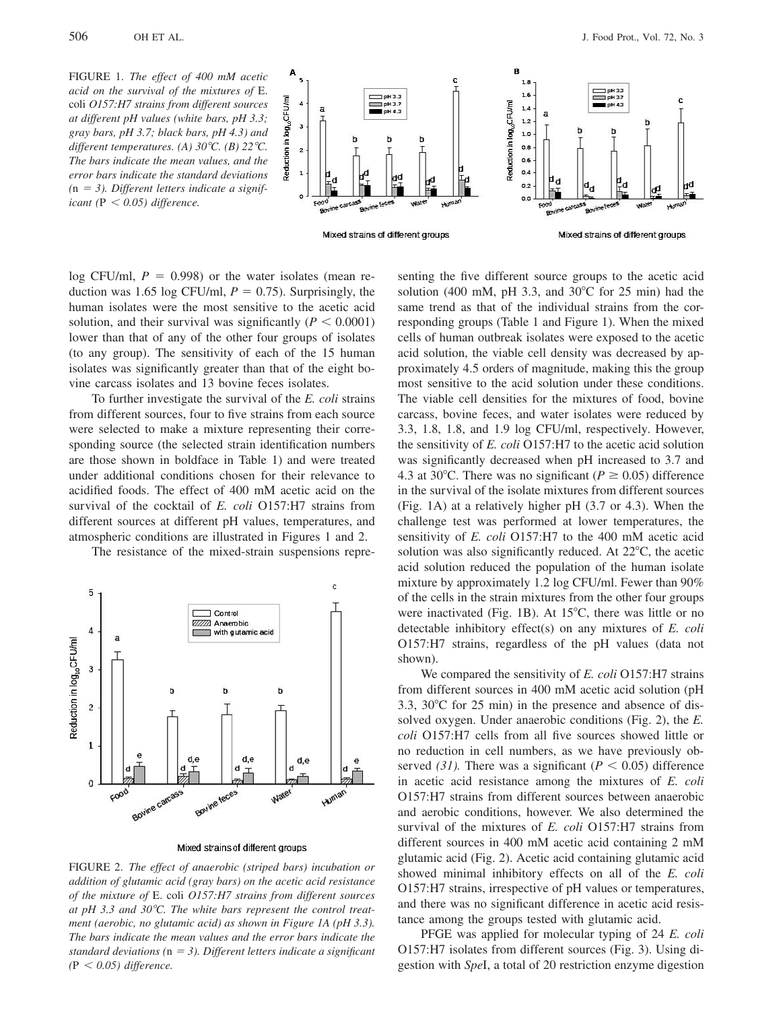

log CFU/ml,  $P = 0.998$ ) or the water isolates (mean reduction was 1.65 log CFU/ml,  $P = 0.75$ ). Surprisingly, the human isolates were the most sensitive to the acetic acid solution, and their survival was significantly ( $P < 0.0001$ ) lower than that of any of the other four groups of isolates (to any group). The sensitivity of each of the 15 human isolates was significantly greater than that of the eight bovine carcass isolates and 13 bovine feces isolates.

To further investigate the survival of the E. coli strains from different sources, four to five strains from each source were selected to make a mixture representing their corresponding source (the selected strain identification numbers are those shown in boldface in Table 1) and were treated under additional conditions chosen for their relevance to acidified foods. The effect of 400 mM acetic acid on the survival of the cocktail of E. coli O157:H7 strains from different sources at different pH values, temperatures, and atmospheric conditions are illustrated in Figures 1 and 2.

The resistance of the mixed-strain suspensions repre-



Mixed strains of different groups

FIGURE 2. The effect of anaerobic (striped bars) incubation or addition of glutamic acid (gray bars) on the acetic acid resistance of the mixture of E. coli O157:H7 strains from different sources at pH 3.3 and 30 $^{\circ}$ C. The white bars represent the control treatment (aerobic, no glutamic acid) as shown in Figure 1A (pH 3.3). The bars indicate the mean values and the error bars indicate the standard deviations ( $n = 3$ ). Different letters indicate a significant  $(P < 0.05)$  difference.

senting the five different source groups to the acetic acid solution (400 mM, pH 3.3, and 30°C for 25 min) had the same trend as that of the individual strains from the corresponding groups (Table 1 and Figure 1). When the mixed cells of human outbreak isolates were exposed to the acetic acid solution, the viable cell density was decreased by approximately 4.5 orders of magnitude, making this the group most sensitive to the acid solution under these conditions. The viable cell densities for the mixtures of food, bovine carcass, bovine feces, and water isolates were reduced by 3.3, 1.8, 1.8, and 1.9 log CFU/ml, respectively. However, the sensitivity of E. coli O157:H7 to the acetic acid solution was significantly decreased when pH increased to 3.7 and 4.3 at 30°C. There was no significant ( $P \ge 0.05$ ) difference in the survival of the isolate mixtures from different sources (Fig. 1A) at a relatively higher pH (3.7 or 4.3). When the challenge test was performed at lower temperatures, the sensitivity of *E. coli* O157:H7 to the 400 mM acetic acid solution was also significantly reduced. At 22°C, the acetic acid solution reduced the population of the human isolate mixture by approximately 1.2 log CFU/ml. Fewer than 90% of the cells in the strain mixtures from the other four groups were inactivated (Fig. 1B). At  $15^{\circ}$ C, there was little or no detectable inhibitory effect(s) on any mixtures of  $E$ . *coli* O157:H7 strains, regardless of the pH values (data not shown).

We compared the sensitivity of E. coli O157:H7 strains from different sources in 400 mM acetic acid solution (pH) 3.3,  $30^{\circ}$ C for 25 min) in the presence and absence of dissolved oxygen. Under anaerobic conditions (Fig. 2), the E. coli O157:H7 cells from all five sources showed little or no reduction in cell numbers, as we have previously observed (31). There was a significant ( $P < 0.05$ ) difference in acetic acid resistance among the mixtures of E. coli O157:H7 strains from different sources between anaerobic and aerobic conditions, however. We also determined the survival of the mixtures of E. coli O157:H7 strains from different sources in 400 mM acetic acid containing 2 mM glutamic acid (Fig. 2). Acetic acid containing glutamic acid showed minimal inhibitory effects on all of the E. coli O157:H7 strains, irrespective of pH values or temperatures, and there was no significant difference in acetic acid resistance among the groups tested with glutamic acid.

PFGE was applied for molecular typing of 24 E. coli O157:H7 isolates from different sources (Fig. 3). Using digestion with SpeI, a total of 20 restriction enzyme digestion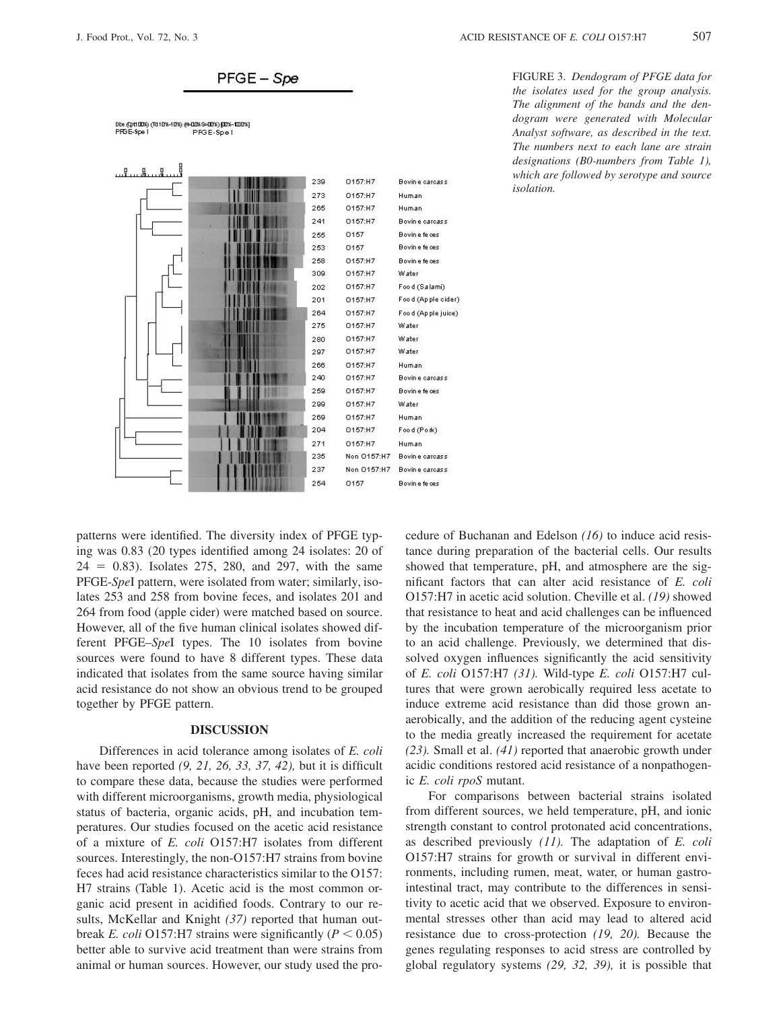

.<br>Dbe (Opti0006) (1610%-10%) (H-000%-900%) (DN-1000%)<br>PFGE-Spe I PFGE-Spe I



FIGURE 3. Dendogram of PFGE data for the isolates used for the group analysis. The alignment of the bands and the dendogram were generated with Molecular Analyst software, as described in the text. The numbers next to each lane are strain designations (B0-numbers from Table 1), which are followed by serotype and source *isolation.* 

patterns were identified. The diversity index of PFGE typing was 0.83 (20 types identified among 24 isolates: 20 of  $24 = 0.83$ ). Isolates 275, 280, and 297, with the same PFGE-SpeI pattern, were isolated from water; similarly, isolates 253 and 258 from bovine feces, and isolates 201 and 264 from food (apple cider) were matched based on source. However, all of the five human clinical isolates showed different PFGE-SpeI types. The 10 isolates from bovine sources were found to have 8 different types. These data indicated that isolates from the same source having similar acid resistance do not show an obvious trend to be grouped together by PFGE pattern.

## **DISCUSSION**

Differences in acid tolerance among isolates of E. coli have been reported  $(9, 21, 26, 33, 37, 42)$ , but it is difficult to compare these data, because the studies were performed with different microorganisms, growth media, physiological status of bacteria, organic acids, pH, and incubation temperatures. Our studies focused on the acetic acid resistance of a mixture of E. coli O157:H7 isolates from different sources. Interestingly, the non-O157:H7 strains from bovine feces had acid resistance characteristics similar to the O157: H7 strains (Table 1). Acetic acid is the most common organic acid present in acidified foods. Contrary to our results, McKellar and Knight  $(37)$  reported that human outbreak *E. coli* O157:H7 strains were significantly ( $P < 0.05$ ) better able to survive acid treatment than were strains from animal or human sources. However, our study used the procedure of Buchanan and Edelson  $(16)$  to induce acid resistance during preparation of the bacterial cells. Our results showed that temperature, pH, and atmosphere are the significant factors that can alter acid resistance of E. coli O157:H7 in acetic acid solution. Cheville et al. (19) showed that resistance to heat and acid challenges can be influenced by the incubation temperature of the microorganism prior to an acid challenge. Previously, we determined that dissolved oxygen influences significantly the acid sensitivity of E. coli O157:H7 (31). Wild-type E. coli O157:H7 cultures that were grown aerobically required less acetate to induce extreme acid resistance than did those grown anaerobically, and the addition of the reducing agent cysteine to the media greatly increased the requirement for acetate  $(23)$ . Small et al.  $(41)$  reported that anaerobic growth under acidic conditions restored acid resistance of a nonpathogenic E. coli rpoS mutant.

For comparisons between bacterial strains isolated from different sources, we held temperature, pH, and ionic strength constant to control protonated acid concentrations, as described previously  $(11)$ . The adaptation of E. coli O157:H7 strains for growth or survival in different environments, including rumen, meat, water, or human gastrointestinal tract, may contribute to the differences in sensitivity to acetic acid that we observed. Exposure to environmental stresses other than acid may lead to altered acid resistance due to cross-protection  $(19, 20)$ . Because the genes regulating responses to acid stress are controlled by global regulatory systems  $(29, 32, 39)$ , it is possible that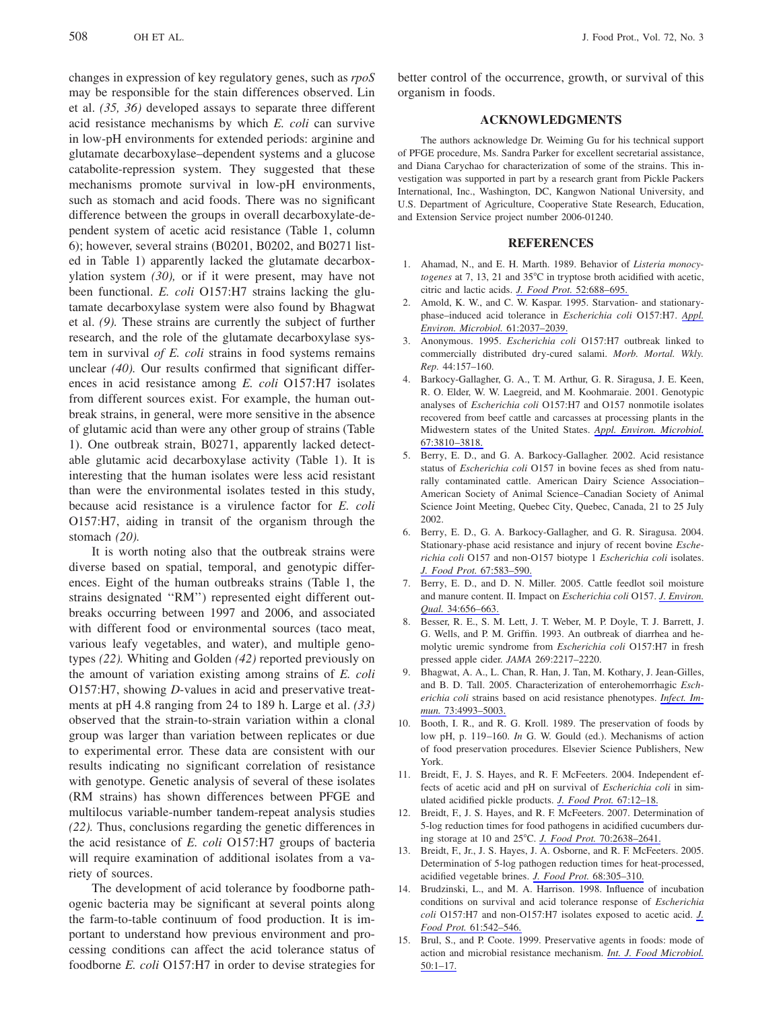changes in expression of key regulatory genes, such as rpoS may be responsible for the stain differences observed. Lin et al.  $(35, 36)$  developed assays to separate three different acid resistance mechanisms by which E. coli can survive in low-pH environments for extended periods: arginine and glutamate decarboxylase-dependent systems and a glucose catabolite-repression system. They suggested that these mechanisms promote survival in low-pH environments, such as stomach and acid foods. There was no significant difference between the groups in overall decarboxylate-dependent system of acetic acid resistance (Table 1, column 6); however, several strains  $(B0201, B0202, and B0271$  listed in Table 1) apparently lacked the glutamate decarboxylation system  $(30)$ , or if it were present, may have not been functional. E. coli O157:H7 strains lacking the glutamate decarboxylase system were also found by Bhagwat et al.  $(9)$ . These strains are currently the subject of further research, and the role of the glutamate decarboxylase system in survival of  $E$ . coli strains in food systems remains unclear  $(40)$ . Our results confirmed that significant differences in acid resistance among E. coli O157:H7 isolates from different sources exist. For example, the human outbreak strains, in general, were more sensitive in the absence of glutamic acid than were any other group of strains (Table 1). One outbreak strain, B0271, apparently lacked detectable glutamic acid decarboxylase activity (Table 1). It is interesting that the human isolates were less acid resistant than were the environmental isolates tested in this study, because acid resistance is a virulence factor for E. coli O157:H7, aiding in transit of the organism through the stomach  $(20)$ .

It is worth noting also that the outbreak strains were diverse based on spatial, temporal, and genotypic differences. Eight of the human outbreaks strains (Table 1, the strains designated "RM") represented eight different outbreaks occurring between 1997 and 2006, and associated with different food or environmental sources (taco meat, various leafy vegetables, and water), and multiple genotypes  $(22)$ . Whiting and Golden  $(42)$  reported previously on the amount of variation existing among strains of E. coli O157:H7, showing *D*-values in acid and preservative treatments at pH 4.8 ranging from 24 to 189 h. Large et al. (33) observed that the strain-to-strain variation within a clonal group was larger than variation between replicates or due to experimental error. These data are consistent with our results indicating no significant correlation of resistance with genotype. Genetic analysis of several of these isolates (RM strains) has shown differences between PFGE and multilocus variable-number tandem-repeat analysis studies (22). Thus, conclusions regarding the genetic differences in the acid resistance of E. coli O157:H7 groups of bacteria will require examination of additional isolates from a variety of sources.

The development of acid tolerance by foodborne pathogenic bacteria may be significant at several points along the farm-to-table continuum of food production. It is important to understand how previous environment and processing conditions can affect the acid tolerance status of foodborne E. coli O157:H7 in order to devise strategies for better control of the occurrence, growth, or survival of this organism in foods.

## **ACKNOWLEDGMENTS**

The authors acknowledge Dr. Weiming Gu for his technical support of PFGE procedure, Ms. Sandra Parker for excellent secretarial assistance, and Diana Carychao for characterization of some of the strains. This investigation was supported in part by a research grant from Pickle Packers International, Inc., Washington, DC, Kangwon National University, and U.S. Department of Agriculture, Cooperative State Research, Education, and Extension Service project number 2006-01240.

## **REFERENCES**

- 1. Ahamad, N., and E. H. Marth. 1989. Behavior of Listeria monocytogenes at 7, 13, 21 and 35°C in tryptose broth acidified with acetic, citric and lactic acids. J. Food Prot. 52:688-695.
- 2. Amold, K. W., and C. W. Kaspar. 1995. Starvation- and stationaryphase-induced acid tolerance in Escherichia coli O157:H7. Appl. Environ. Microbiol. 61:2037-2039.
- 3. Anonymous. 1995. Escherichia coli O157:H7 outbreak linked to commercially distributed dry-cured salami. Morb. Mortal. Wkly. Rep. 44:157-160.
- 4. Barkocy-Gallagher, G. A., T. M. Arthur, G. R. Siragusa, J. E. Keen, R. O. Elder, W. W. Laegreid, and M. Koohmaraie. 2001. Genotypic analyses of Escherichia coli O157:H7 and O157 nonmotile isolates recovered from beef cattle and carcasses at processing plants in the Midwestern states of the United States. Appl. Environ. Microbiol. 67:3810-3818.
- 5. Berry, E. D., and G. A. Barkocy-Gallagher. 2002. Acid resistance status of *Escherichia coli* O157 in bovine feces as shed from naturally contaminated cattle. American Dairy Science Association-American Society of Animal Science-Canadian Society of Animal Science Joint Meeting, Quebec City, Quebec, Canada, 21 to 25 July 2002.
- 6. Berry, E. D., G. A. Barkocy-Gallagher, and G. R. Siragusa. 2004. Stationary-phase acid resistance and injury of recent bovine Escherichia coli O157 and non-O157 biotype 1 Escherichia coli isolates. J. Food Prot. 67:583-590.
- 7. Berry, E. D., and D. N. Miller. 2005. Cattle feedlot soil moisture and manure content. II. Impact on Escherichia coli O157. J. Environ. Qual. 34:656-663.
- 8. Besser, R. E., S. M. Lett, J. T. Weber, M. P. Doyle, T. J. Barrett, J. G. Wells, and P. M. Griffin. 1993. An outbreak of diarrhea and hemolytic uremic syndrome from *Escherichia coli* O157:H7 in fresh pressed apple cider. JAMA 269:2217-2220.
- 9. Bhagwat, A. A., L. Chan, R. Han, J. Tan, M. Kothary, J. Jean-Gilles, and B. D. Tall. 2005. Characterization of enterohemorrhagic Escherichia coli strains based on acid resistance phenotypes. Infect. Immun. 73:4993-5003.
- 10. Booth, I. R., and R. G. Kroll. 1989. The preservation of foods by low pH, p.  $119-160$ . *In* G. W. Gould (ed.). Mechanisms of action of food preservation procedures. Elsevier Science Publishers, New York.
- 11. Breidt, F., J. S. Hayes, and R. F. McFeeters. 2004. Independent effects of acetic acid and pH on survival of Escherichia coli in simulated acidified pickle products. J. Food Prot. 67:12-18.
- Breidt, F., J. S. Hayes, and R. F. McFeeters. 2007. Determination of 12. 5-log reduction times for food pathogens in acidified cucumbers during storage at 10 and 25°C. J. Food Prot. 70:2638-2641.
- Breidt, F., Jr., J. S. Hayes, J. A. Osborne, and R. F. McFeeters. 2005. 13. Determination of 5-log pathogen reduction times for heat-processed, acidified vegetable brines. J. Food Prot. 68:305-310.
- 14. Brudzinski, L., and M. A. Harrison. 1998. Influence of incubation conditions on survival and acid tolerance response of Escherichia coli O157:H7 and non-O157:H7 isolates exposed to acetic acid. J. Food Prot. 61:542-546.
- 15. Brul, S., and P. Coote. 1999. Preservative agents in foods: mode of action and microbial resistance mechanism. Int. J. Food Microbiol.  $50:1 - 17$ .